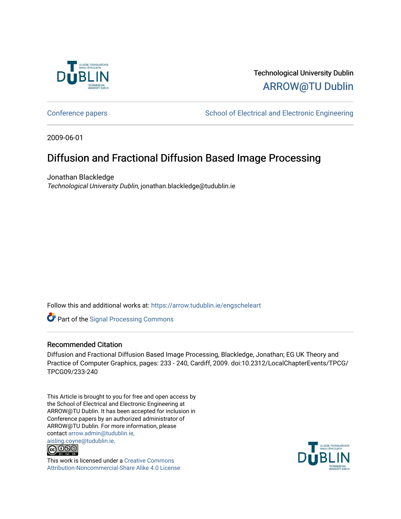

# Technological University Dublin [ARROW@TU Dublin](https://arrow.tudublin.ie/)

[Conference papers](https://arrow.tudublin.ie/engscheleart) **School of Electrical and Electronic Engineering** 

2009-06-01

# Diffusion and Fractional Diffusion Based Image Processing

Jonathan Blackledge Technological University Dublin, jonathan.blackledge@tudublin.ie

Follow this and additional works at: [https://arrow.tudublin.ie/engscheleart](https://arrow.tudublin.ie/engscheleart?utm_source=arrow.tudublin.ie%2Fengscheleart%2F158&utm_medium=PDF&utm_campaign=PDFCoverPages) 

**Part of the [Signal Processing Commons](http://network.bepress.com/hgg/discipline/275?utm_source=arrow.tudublin.ie%2Fengscheleart%2F158&utm_medium=PDF&utm_campaign=PDFCoverPages)** 

# Recommended Citation

Diffusion and Fractional Diffusion Based Image Processing, Blackledge, Jonathan; EG UK Theory and Practice of Computer Graphics, pages: 233 - 240, Cardiff, 2009. doi:10.2312/LocalChapterEvents/TPCG/ TPCG09/233-240

This Article is brought to you for free and open access by the School of Electrical and Electronic Engineering at ARROW@TU Dublin. It has been accepted for inclusion in Conference papers by an authorized administrator of ARROW@TU Dublin. For more information, please contact [arrow.admin@tudublin.ie,](mailto:arrow.admin@tudublin.ie,%20aisling.coyne@tudublin.ie)  [aisling.coyne@tudublin.ie.](mailto:arrow.admin@tudublin.ie,%20aisling.coyne@tudublin.ie)<br>© 090



This work is licensed under a [Creative Commons](http://creativecommons.org/licenses/by-nc-sa/4.0/) [Attribution-Noncommercial-Share Alike 4.0 License](http://creativecommons.org/licenses/by-nc-sa/4.0/)

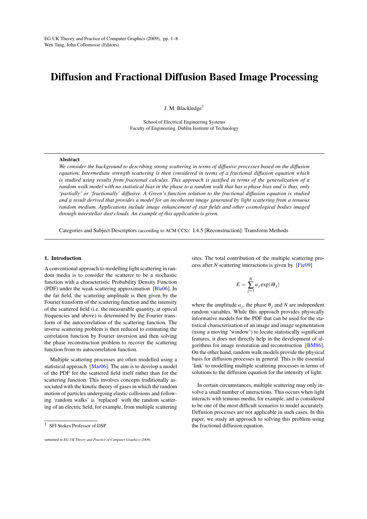# Diffusion and Fractional Diffusion Based Image Processing

J. M. Blackledge†

School of Electrical Engineering Systems Faculty of Engineering, Dublin Institute of Technology

#### Abstract

*We consider the background to describing strong scattering in terms of diffusive processes based on the diffusion equation. Intermediate strength scattering is then considered in terms of a fractional diffusion equation which is studied using results from fractional calculus. This approach is justified in terms of the generalization of a random walk model with no statistical bias in the phase to a random walk that has a phase bias and is thus, only 'partially' or 'fractionally' diffusive. A Green's function solution to the fractional diffusion equation is studied and a result derived that provides a model for an incoherent image generated by light scattering from a tenuous random medium. Applications include image enhancement of star fields and other cosmological bodies imaged through interstellar dust clouds. An example of this application is given.*

Categories and Subject Descriptors (according to ACM CCS): I.4.5 [Reconstruction]: Transform Methods

#### 1. Introduction

A conventional approach to modelling light scattering in random media is to consider the scatterer to be a stochastic function with a characteristic Probability Density Function (PDF) under the weak scattering approximation [\[Bla06\]](#page-8-0). In the far field, the scattering amplitude is then given by the Fourier transform of the scattering function and the intensity of the scattered field (i.e. the measurable quantity, at optical frequencies and above) is determined by the Fourier transform of the autocorrelation of the scattering function. The inverse scattering problem is then reduced to estimating the correlation function by Fourier inversion and then solving the phase reconstruction problem to recover the scattering function from its autocorrelation function.

Multiple scattering processes are often modelled using a statistical approach [\[Mar06\]](#page-8-1). The aim is to develop a model of the PDF for the scattered field itself rather than for the scattering function. This involves concepts traditionally associated with the kinetic theory of gases in which the random motion of particles undergoing elastic collisions and following 'random walks' is 'replaced' with the random scattering of an electric field, for example, from multiple scattering

sites. The total contribution of the multiple scattering process after *N* scattering interactions is given by [\[Fie09\]](#page-8-2)

$$
E = \sum_{j=1}^{N} a_j \exp(i\theta_j)
$$

where the amplitude  $a_j$ , the phase  $\theta_j$  and *N* are independent random variables. While this approach provides physically informative models for the PDF that can be used for the statistical characterisation of an image and image segmentation (using a moving 'window') to locate statistically significant features, it does not directly help in the development of algorithms for image restoration and reconstruction [\[BM86\]](#page-8-3). On the other hand, random walk models provide the physical basis for diffusion processes in general. This is the essential 'link' to modelling multiple scattering processes in terms of solutions to the diffusion equation for the intensity of light.

In certain circumstances, multiple scattering may only involve a small number of interactions. This occurs when light interacts with tenuous media, for example, and is considered to be one of the most difficult scenarios to model accurately. Diffusion processes are not applicable in such cases. In this paper, we study an approach to solving this problem using the fractional diffusion equation.

<sup>†</sup> SFI Stokes Professor of DSP

submitted to *EG UK Theory and Practice of Computer Graphics (2009*)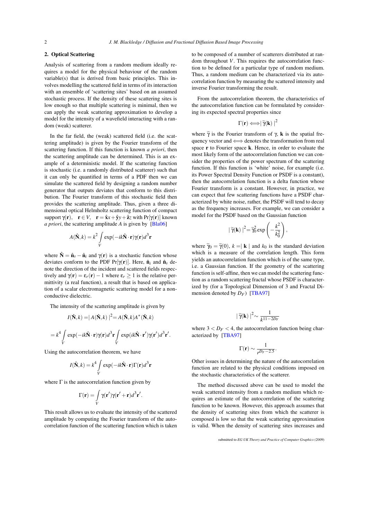# 2. Optical Scattering

Analysis of scattering from a random medium ideally requires a model for the physical behaviour of the random variable(s) that is derived from basic principles. This involves modelling the scattered field in terms of its interaction with an ensemble of 'scattering sites' based on an assumed stochastic process. If the density of these scattering sites is low enough so that multiple scattering is minimal, then we can apply the weak scattering approximation to develop a model for the intensity of a wavefield interacting with a random (weak) scatterer.

In the far field, the (weak) scattered field (i.e. the scattering amplitude) is given by the Fourier transform of the scattering function. If this function is known *a priori*, then the scattering amplitude can be determined. This is an example of a deterministic model. If the scattering function is stochastic (i.e. a randomly distributed scatterer) such that it can only be quantified in terms of a PDF then we can simulate the scattered field by designing a random number generator that outputs deviates that conform to this distribution. The Fourier transform of this stochastic field then provides the scattering amplitude. Thus, given a three dimensional optical Helmholtz scattering function of compact support  $\gamma(\mathbf{r})$ ,  $\mathbf{r} \in V$ ,  $\mathbf{r} = \hat{\mathbf{x}} + \hat{\mathbf{y}} + \hat{\mathbf{z}}$ *z* with Pr $[\gamma(\mathbf{r})]$  known *a priori*, the scattering amplitude *A* is given by [\[Bla06\]](#page-8-0)

$$
A(\hat{\mathbf{N}},k) = k^2 \int\limits_V \exp(-ik\hat{\mathbf{N}}\cdot\mathbf{r})\gamma(\mathbf{r})d^3\mathbf{r}
$$

where  $\hat{\mathbf{N}} = \hat{\mathbf{n}}_s - \hat{\mathbf{n}}_i$  and  $\gamma(\mathbf{r})$  is a stochastic function whose deviates conform to the PDF Pr[ $\gamma(\mathbf{r})$ ]. Here,  $\hat{\mathbf{n}}_i$  and  $\hat{\mathbf{n}}_s$  denote the direction of the incident and scattered fields respectively and  $\gamma(\mathbf{r}) = \varepsilon_r(\mathbf{r}) - 1$  where  $\varepsilon_r \ge 1$  is the relative permittivity (a real function), a result that is based on application of a scalar electromagnetic scattering model for a nonconductive dielectric.

The intensity of the scattering amplitude is given by

$$
I(\hat{\mathbf{N}},k) = |A(\hat{\mathbf{N}},k)|^2 = A(\hat{\mathbf{N}},k)A^*(\hat{\mathbf{N}},k)
$$

$$
= k^4 \int_V \exp(-ik\hat{\mathbf{N}}\cdot\mathbf{r})\gamma(\mathbf{r})d^3\mathbf{r} \int_V \exp(ik\hat{\mathbf{N}}\cdot\mathbf{r}')\gamma(\mathbf{r}')d^3\mathbf{r}'.
$$

Using the autocorrelation theorem, we have

$$
I(\hat{\mathbf{N}},k) = k^4 \int\limits_V \exp(-ik\hat{\mathbf{N}} \cdot \mathbf{r}) \Gamma(\mathbf{r}) d^3 \mathbf{r}
$$

where  $\Gamma$  is the autocorrelation function given by

$$
\Gamma(\mathbf{r}) = \int\limits_V \gamma(\mathbf{r}') \gamma(\mathbf{r}' + \mathbf{r}) d^3 \mathbf{r}'.
$$

This result allows us to evaluate the intensity of the scattered amplitude by computing the Fourier transform of the autocorrelation function of the scattering function which is taken to be composed of a number of scatterers distributed at random throughout *V*. This requires the autocorrelation function to be defined for a particular type of random medium. Thus, a random medium can be characterized via its autocorrelation function by measuring the scattered intensity and inverse Fourier transforming the result.

From the autocorrelation theorem, the characteristics of the autocorrelation function can be formulated by considering its expected spectral properties since

$$
\Gamma(\mathbf{r}) \Longleftrightarrow |\widetilde{\gamma}(\mathbf{k})|^2
$$

where  $\tilde{\gamma}$  is the Fourier transform of  $\gamma$ , k is the spatial frequency vector and ⇐⇒ denotes the transformation from real space **r** to Fourier space **k**. Hence, in order to evaluate the most likely form of the autocorrelation function we can consider the properties of the power spectrum of the scattering function. If this function is 'white' noise, for example (i.e. its Power Spectral Density Function or PSDF is a constant), then the autocorrelation function is a delta function whose Fourier transform is a constant. However, in practice, we can expect that few scattering functions have a PSDF characterized by white noise, rather, the PSDF will tend to decay as the frequency increases. For example, we can consider a model for the PSDF based on the Gaussian function

$$
|\widetilde{\gamma}(\mathbf{k})|^2 = \widetilde{\gamma}_0^2 \exp\left(-\frac{k^2}{k_0^2}\right),
$$

where  $\widetilde{\gamma}_0 = \widetilde{\gamma}(0)$ ,  $k = | \mathbf{k} |$  and  $k_0$  is the standard deviation which is a measure of the correlation length. This form yields an autocorrelation function which is of the same type, i.e. a Gaussian function. If the geometry of the scattering function is self-affine, then we can model the scattering function as a random scattering fractal whose PSDF is characterized by (for a Topological Dimension of 3 and Fractal Dimension denoted by  $D_F$ ) [\[TBA97\]](#page-8-4)

$$
\mid \widetilde{\gamma}(\mathbf{k})\mid^{2}\sim\frac{1}{k^{11-2D_{F}}}
$$

where  $3 < D_F < 4$ , the autocorrelation function being characterized by [\[TBA97\]](#page-8-4)

$$
\Gamma(\mathbf{r}) \sim \frac{1}{r^{D_F - 2.5}}.
$$

Other issues in determining the nature of the autocorrelation function are related to the physical conditions imposed on the stochastic characteristics of the scatterer.

The method discussed above can be used to model the weak scattered intensity from a random medium which requires an estimate of the autocorrelation of the scattering function to be known. However, this approach assumes that the density of scattering sites from which the scatterer is composed is low so that the weak scattering approximation is valid. When the density of scattering sites increases and

submitted to *EG UK Theory and Practice of Computer Graphics (2009*)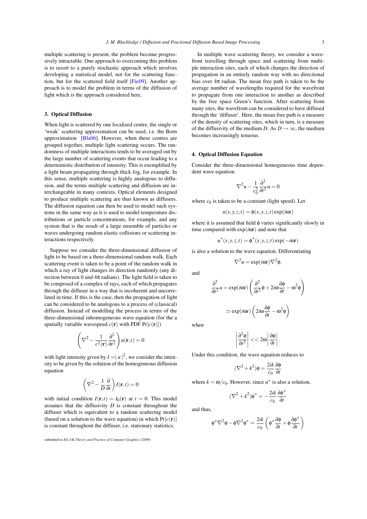multiple scattering is present, the problem become progressively intractable. One approach to overcoming this problem is to resort to a purely stochastic approach which involves developing a statistical model, not for the scattering function, but for the scattered field itself [\[Fie09\]](#page-8-2). Another approach is to model the problem in terms of the diffusion of light which is the approach considered here.

# 3. Optical Diffusion

When light is scattered by one localized centre, the single or 'weak' scattering approximation can be used, i.e. the Born approximation [\[Bla06\]](#page-8-0). However, when these centres are grouped together, multiple light scattering occurs. The randomness of multiple interactions tends to be averaged out by the large number of scattering events that occur leading to a deterministic distribution of intensity. This is exemplified by a light beam propagating through thick fog, for example. In this sense, multiple scattering is highly analogous to diffusion, and the terms multiple scattering and diffusion are interchangeable in many contexts. Optical elements designed to produce multiple scattering are thus known as diffusers. The diffusion equation can then be used to model such systems in the same way as it is used to model temperature distributions or particle concentrations, for example, and any system that is the result of a large ensemble of particles or waves undergoing random elastic collisions or scattering interactions respectively.

Suppose we consider the three-dimensional diffusion of light to be based on a three-dimensional random walk. Each scattering event is taken to be a point of the random walk in which a ray of light changes its direction randomly (any direction between 0 and  $4\pi$  radians). The light field is taken to be composed of a complex of rays, each of which propagates through the diffuser in a way that is incoherent and uncorrelated in time. If this is the case, then the propagation of light can be considered to be analogous to a process of (classical) diffusion. Instead of modelling the process in terms of the three-dimensional inhomogeneous wave equation (for the a spatially variable wavespeed  $c(\mathbf{r})$  with PDF  $Pr[c(\mathbf{r})]$ )

$$
\left(\nabla^2 - \frac{1}{c^2(\mathbf{r})} \frac{\partial^2}{\partial t^2}\right) u(\mathbf{r}, t) = 0
$$

with light intensity given by  $I = |u|^2$ , we consider the intensity to be given by the solution of the homogeneous diffusion equation

$$
\left(\nabla^2 - \frac{1}{D}\frac{\partial}{\partial t}\right)I(\mathbf{r}, t) = 0
$$

with initial condition  $I(\mathbf{r},t) = I_0(\mathbf{r})$  at  $t = 0$ . This model assumes that the diffusivity *D* is constant throughout the diffuser which is equivalent to a random scattering model (based on a solution to the wave equation) in which  $Pr[c(\mathbf{r})]$ is constant throughout the diffuser, i.e. stationary statistics.

In multiple wave scattering theory, we consider a wavefront travelling through space and scattering from multiple interaction sites, each of which changes the direction of propagation in an entirely random way with no directional bias over  $4\pi$  radian. The mean free path is taken to be the average number of wavelengths required for the wavefront to propagate from one interaction to another as described by the free space Green's function. After scattering from many sites, the wavefront can be considered to have diffused through the 'diffuser'. Here, the mean free path is a measure of the density of scattering sites, which in turn, is a measure of the diffusivity of the medium *D*. As  $D \rightarrow \infty$ , the medium becomes increasingly tenuous.

### 4. Optical Diffusion Equation

Consider the three-dimensional homogeneous time dependent wave equation

$$
\nabla^2 u - \frac{1}{c_0^2} \frac{\partial^2}{\partial t^2} u = 0
$$

where  $c_0$  is taken to be a constant (light speed). Let

$$
u(x, y, z, t) = \phi(x, y, z, t) \exp(i\omega t)
$$

where it is assumed that field φ varies significantly slowly in time compared with exp(*i*ω*t*) and note that

 $u^*(x, y, z, t) = \phi^*(x, y, z, t) \exp(-i\omega t)$ 

is also a solution to the wave equation. Differentiating

$$
\nabla^2 u = \exp(i\omega t) \nabla^2 \phi,
$$

and

$$
\frac{\partial^2}{\partial t^2} u = \exp(i\omega t) \left( \frac{\partial^2}{\partial t^2} \phi + 2i\omega \frac{\partial \phi}{\partial t} - \omega^2 \phi \right)
$$

$$
\simeq \exp(i\omega t) \left( 2i\omega \frac{\partial \phi}{\partial t} - \omega^2 \phi \right)
$$

when

$$
\left|\frac{\partial^2 \phi}{\partial t^2}\right| << 2\omega \left|\frac{\partial \phi}{\partial t}\right|.
$$

Under this condition, the wave equation reduces to

$$
(\nabla^2 + k^2)\phi = \frac{2ik}{c_0} \frac{\partial \phi}{\partial t}
$$

where  $k = \omega/c_0$ . However, since  $u^*$  is also a solution,

$$
(\nabla^2 + k^2)\phi^* = -\frac{2ik}{c_0}\frac{\partial \phi^*}{\partial t}
$$

and thus,

$$
\phi^*\nabla^2\phi-\phi\nabla^2\phi^*=\frac{2ik}{c_0}\left(\phi^*\frac{\partial\phi}{\partial t}+\phi\frac{\partial\phi^*}{\partial t}\right)
$$

submitted to *EG UK Theory and Practice of Computer Graphics (2009*)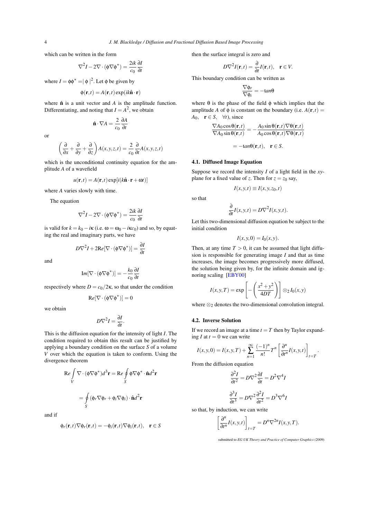which can be written in the form

$$
\nabla^2 I - 2\nabla \cdot (\phi \nabla \phi^*) = \frac{2ik}{c_0} \frac{\partial I}{\partial t}
$$

where  $I = \phi \phi^* = |\phi|^2$ . Let  $\phi$  be given by

$$
\phi(\mathbf{r},t) = A(\mathbf{r},t) \exp(ik\hat{\mathbf{n}} \cdot \mathbf{r})
$$

where  $\hat{\mathbf{n}}$  is a unit vector and  $A$  is the amplitude function. Differentiating, and noting that  $I = A^2$ , we obtain

$$
\hat{\mathbf{n}} \cdot \nabla A = \frac{2}{c_0} \frac{\partial A}{\partial t}
$$

or

$$
\left(\frac{\partial}{\partial x} + \frac{\partial}{\partial y} + \frac{\partial}{\partial z}\right) A(x, y, z, t) = \frac{2}{c_0} \frac{\partial}{\partial t} A(x, y, z, t)
$$

which is the unconditional continuity equation for the amplitude *A* of a wavefield

$$
u(\mathbf{r},t) = A(\mathbf{r},t) \exp[i(k\hat{\mathbf{n}}\cdot\mathbf{r} + \omega t)]
$$

where *A* varies slowly with time.

The equation

$$
\nabla^2 I - 2\nabla \cdot (\phi \nabla \phi^*) = \frac{2ik}{c_0} \frac{\partial I}{\partial t}
$$

is valid for  $k = k_0 - i\kappa$  (i.e.  $\omega = \omega_0 - i\kappa c_0$ ) and so, by equating the real and imaginary parts, we have

$$
D\nabla^2 I + 2\text{Re}[\nabla \cdot (\phi \nabla \phi^*)] = \frac{\partial I}{\partial t}
$$

and

$$
\mathrm{Im}[\nabla \cdot (\phi \nabla \phi^*)] = -\frac{k_0}{c_0} \frac{\partial I}{\partial t}
$$

respectively where  $D = c_0/2\kappa$ , so that under the condition

$$
Re[\nabla \cdot (\phi \nabla \phi^*)] = 0
$$

we obtain

$$
D\nabla^2 I = \frac{\partial I}{\partial t}.
$$

This is the diffusion equation for the intensity of light *I*. The condition required to obtain this result can be justified by applying a boundary condition on the surface *S* of a volume *V* over which the equation is taken to conform. Using the divergence theorem

$$
\operatorname{Re} \int\limits_V \nabla \cdot (\phi \nabla \phi^*) d^3 \mathbf{r} = \operatorname{Re} \oint\limits_S \phi \nabla \phi^* \cdot \hat{\mathbf{n}} d^2 \mathbf{r}
$$

$$
= \oint\limits_S (\phi_r \nabla \phi_r + \phi_i \nabla \phi_i) \cdot \hat{\mathbf{n}} d^2 \mathbf{r}
$$

and if

$$
\phi_r(\mathbf{r},t)\nabla\phi_r(\mathbf{r},t)=-\phi_i(\mathbf{r},t)\nabla\phi_i(\mathbf{r},t),\quad \mathbf{r}\in S
$$

then the surface integral is zero and

$$
D\nabla^2 I(\mathbf{r},t) = \frac{\partial}{\partial t} I(\mathbf{r},t), \quad \mathbf{r} \in V.
$$

This boundary condition can be written as

$$
\frac{\nabla \phi_r}{\nabla \phi_i} = -\tan\theta
$$

where  $\theta$  is the phase of the field  $\phi$  which implies that the amplitude *A* of  $\phi$  is constant on the boundary (i.e.  $A(\mathbf{r},t)$  =  $A_0$ , **r**  $\in$  *S*,  $\forall$ *t*), since

$$
\frac{\nabla A_0 \cos \theta(\mathbf{r},t)}{\nabla A_0 \sin \theta(\mathbf{r},t)} = -\frac{A_0 \sin \theta(\mathbf{r},t) \nabla \theta(\mathbf{r},t)}{A_0 \cos \theta(\mathbf{r},t) \nabla \theta(\mathbf{r},t)}
$$

$$
= -\tan \theta(\mathbf{r},t), \quad \mathbf{r} \in S.
$$

#### 4.1. Diffused Image Equation

Suppose we record the intensity *I* of a light field in the *xy*plane for a fixed value of *z*. Then for  $z = z_0$  say,

$$
I(x, y, t) \equiv I(x, y, z_0, t)
$$

so that

$$
\frac{\partial}{\partial t}I(x, y, t) = D\nabla^2 I(x, y, t).
$$

Let this two-dimensional diffusion equation be subject to the initial condition

$$
I(x, y, 0) = I_0(x, y).
$$

Then, at any time  $T > 0$ , it can be assumed that light diffusion is responsible for generating image *I* and that as time increases, the image becomes progressively more diffused, the solution being given by, for the infinite domain and ignoring scaling [\[EBY00\]](#page-8-5)

$$
I(x, y, T) = \exp\left[-\left(\frac{x^2 + y^2}{4DT}\right)\right] \otimes_2 I_0(x, y)
$$

where  $\otimes_2$  denotes the two-dimensional convolution integral.

# 4.2. Inverse Solution

If we record an image at a time  $t = T$  then by Taylor expanding  $I$  at  $t = 0$  we can write

$$
I(x, y, 0) = I(x, y, T) + \sum_{n=1}^{\infty} \frac{(-1)^n}{n!} T^n \left[ \frac{\partial^n}{\partial t^n} I(x, y, t) \right]_{t=T}
$$

.

From the diffusion equation

$$
\frac{\partial^2 I}{\partial t^2} = D\nabla^2 \frac{\partial I}{\partial t} = D^2 \nabla^4 I
$$

$$
\frac{\partial^3 I}{\partial t^3} = D\nabla^2 \frac{\partial^2 I}{\partial t^2} = D^3 \nabla^6 I
$$

so that, by induction, we can write

$$
\left[\frac{\partial^n}{\partial t^n}I(x,y,t)\right]_{t=T} = D^n \nabla^{2n}I(x,y,T).
$$

submitted to *EG UK Theory and Practice of Computer Graphics (2009*)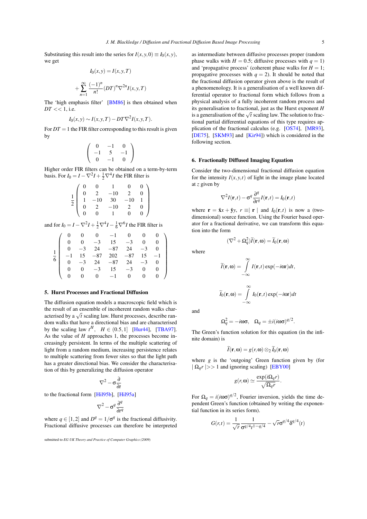Substituting this result into the series for  $I(x, y, 0) \equiv I_0(x, y)$ , we get

$$
I_0(x, y) = I(x, y, T)
$$
  
+ 
$$
\sum_{n=1}^{\infty} \frac{(-1)^n}{n!} (DT)^n \nabla^{2n} I(x, y, T)
$$

The 'high emphasis filter' [\[BM86\]](#page-8-3) is then obtained when  $DT \ll 1$ , i.e.

$$
I_0(x, y) \sim I(x, y, T) - DT\nabla^2 I(x, y, T).
$$

For  $DT = 1$  the FIR filter corresponding to this result is given by

$$
\left(\begin{array}{ccc} 0 & -1 & 0 \\ -1 & 5 & -1 \\ 0 & -1 & 0 \end{array}\right)
$$

Higher order FIR filters can be obtained on a term-by-term basis. For  $I_0 = I - \nabla^2 I + \frac{1}{2} \nabla^4 I$  the FIR filter is

$$
\frac{1}{2} \left( \begin{array}{rrrrr} 0 & 0 & 1 & 0 & 0 \\ 0 & 2 & -10 & 2 & 0 \\ 1 & -10 & 30 & -10 & 1 \\ 0 & 2 & -10 & 2 & 0 \\ 0 & 0 & 1 & 0 & 0 \end{array} \right)
$$

and for  $I_0 = I - \nabla^2 I + \frac{1}{2} \nabla^4 I - \frac{1}{6} \nabla^6 I$  the FIR filter is

|  |          |                                                                                              | $\overline{0}$ | 0              |                |  |
|--|----------|----------------------------------------------------------------------------------------------|----------------|----------------|----------------|--|
|  |          | $\begin{array}{ccc} 0 & 0 & -1 \\ 0 & -3 & 15 \end{array}$                                   | $-3$           |                |                |  |
|  |          | $-3$ 24 $-87$ 24                                                                             |                | $-3$           | 0 <sub>1</sub> |  |
|  |          | $\begin{array}{ccccccccc}\n-1 & 15 & -87 & 202 & -87 \\ 0 & -3 & 24 & -87 & 24\n\end{array}$ |                | $-87$ 15       | $-1$           |  |
|  |          |                                                                                              |                | $-3$           |                |  |
|  |          | $-3$ 15                                                                                      | $-3$           |                |                |  |
|  | $\Omega$ | $0 \quad -1$                                                                                 | $\overline{0}$ | $\overline{0}$ |                |  |

### 5. Hurst Processes and Fractional Diffusion

The diffusion equation models a macroscopic field which is the result of an ensemble of incoherent random walks characterised by a  $\sqrt{t}$  scaling law. Hurst processes, describe random walks that have a directional bias and are characterised by the scaling law  $t^H$ ,  $H \in (0.5, 1]$  [\[Hur44\]](#page-8-6), [\[TBA97\]](#page-8-4). As the value of *H* approaches 1, the processes become increasingly persistent. In terms of the multiple scattering of light from a random medium, increasing persistence relates to multiple scattering from fewer sites so that the light path has a greater directional bias. We consider the characterisation of this by generalizing the diffusion operator

$$
\nabla^2 - \sigma \frac{\partial}{\partial t}
$$

to the fractional form [\[Hil95b\]](#page-8-7), [\[Hil95a\]](#page-8-8)

$$
\nabla^2 - \sigma^q \frac{\partial^q}{\partial t^q}
$$

where  $q \in [1,2]$  and  $D^q = 1/\sigma^q$  is the fractional diffusivity. Fractional diffusive processes can therefore be interpreted

as intermediate between diffusive processes proper (random phase walks with  $H = 0.5$ ; diffusive processes with  $q = 1$ ) and 'propagative process' (coherent phase walks for  $H = 1$ ; propagative processes with  $q = 2$ ). It should be noted that the fractional diffusion operator given above is the result of a phenomenology. It is a generalisation of a well known differential operator to fractional form which follows from a physical analysis of a fully incoherent random process and its generalisation to fractional, just as the Hurst exponent *H* its generalisation to fractional, just as the riture exponent *ri* is a generalisation of the  $\sqrt{t}$  scaling law. The solution to fractional partial differential equations of this type requires application of the fractional calculus (e.g. [\[OS74\]](#page-8-9), [\[MR93\]](#page-8-10), [\[DE75\]](#page-8-11), [\[SKM93\]](#page-8-12) and [\[Kir94\]](#page-8-13)) which is considered in the following section.

#### 6. Fractionally Diffused Imaging Equation

Consider the two-dimensional fractional diffusion equation for the intensity  $I(x, y, t)$  of light in the image plane located at *z* given by

$$
\nabla^2 I(\mathbf{r},t) - \sigma^q \frac{\partial^q}{\partial t^q} I(\mathbf{r},t) = I_0(\mathbf{r},t)
$$

where  $\mathbf{r} = \hat{\mathbf{x}} + \hat{\mathbf{y}}$ *y*,  $r \equiv |\mathbf{r}|$  and  $I_0(\mathbf{r}, t)$  is now a (twodimensional) source function. Using the Fourier based operator for a fractional derivative, we can transform this equation into the form

$$
(\nabla^2 + \Omega_q^2) \widetilde{I}(\mathbf{r}, \omega) = \widetilde{I}_0(\mathbf{r}, \omega)
$$
 where

$$
\widetilde{I}(\mathbf{r}, \omega) = \int_{-\infty}^{\infty} I(\mathbf{r}, t) \exp(-i\omega t) dt,
$$

$$
\widetilde{I}_0(\mathbf{r}, \omega) = \int_{-\infty}^{\infty} I_0(\mathbf{r}, t) \exp(-i\omega t) dt
$$

and

$$
\Omega_q^2 = -i\omega\sigma, \quad \Omega_q = \pm i(i\omega\sigma)^{q/2}.
$$

The Green's function solution for this equation (in the infinite domain) is

$$
\widetilde{I}(\mathbf{r},\omega)=g(r,\omega)\otimes_2 \widetilde{I}_0(\mathbf{r},\omega)
$$

where *g* is the 'outgoing' Green function given by (for  $| \Omega_q r | >> 1$  and ignoring scaling) [\[EBY00\]](#page-8-5)

$$
g(r, \mathbf{\omega}) \simeq \frac{\exp(i\Omega_q r)}{\sqrt{\Omega_q r}}.
$$

For  $\Omega_q = i(i\omega\sigma)^{q/2}$ , Fourier inversion, yields the time dependent Green's function (obtained by writing the exponential function in its series form).

$$
G(r,t) = \frac{1}{\sqrt{r}} \frac{1}{\sigma^{q/4} t^{1-q/4}} - \sqrt{r} \sigma^{q/4} \delta^{q/4}(t)
$$

submitted to *EG UK Theory and Practice of Computer Graphics (2009*)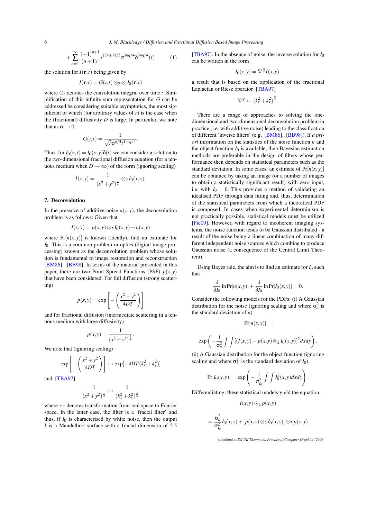6 *J. M. Blackledge / Diffusion and Fractional Diffusion Based Image Processing*

$$
+\sum_{n=1}^{\infty} \frac{(-1)^{n+1}}{(n+1)!} r^{(2n+1)/2} \sigma^{3nq/4} \delta^{3nq/4}(t) \tag{1}
$$

the solution for  $I(\mathbf{r},t)$  being given by

$$
I(\mathbf{r},t) = G(r,t) \otimes_2 \otimes_t I_0(\mathbf{r},t)
$$

where  $\otimes_t$  denotes the convolution integral over time *t*. Simplification of this infinite sum representation for *G* can be addressed be considering suitable asymptotics, the most significant of which (for arbitrary values of  $r$ ) is the case when the (fractional) diffusivity *D* is large. In particular, we note that as  $\sigma \rightarrow 0$ ,

$$
G(r,t) = \frac{1}{\sqrt{r}\sigma^{q/4}t^{1-q/4}}.
$$

Thus, for  $I_0(\mathbf{r},t) = I_0(x, y) \delta(t)$  we can consider a solution to the two-dimensional fractional diffusion equation (for a tenuous medium when  $D \rightarrow \infty$ ) of the form (ignoring scaling)

$$
I(x,y) = \frac{1}{(x^2 + y^2)^{\frac{1}{4}}} \otimes_2 I_0(x,y).
$$

#### 7. Deconvolution

In the presence of additive noise  $n(x, y)$ , the deconvolution problem is as follows: Given that

$$
I(x,y) = p(x,y) \otimes_2 I_0(x,y) + n(x,y)
$$

where  $Pr[n(x, y)]$  is known (ideally), find an estimate for *I*0. This is a common problem in optics (digital image processing) known as the deconvolution problem whose solution is fundamental to image restoration and reconstruction [\[BM86\]](#page-8-3), [\[BB98\]](#page-8-14). In terms of the material presented in this paper, there are two Point Spread Functions (PSF)  $p(x, y)$ that have been considered: For full diffusion (strong scattering)

$$
p(x,y) = \exp\left[-\left(\frac{x^2 + y^2}{4DT}\right)\right]
$$

and for fractional diffusion (intermediate scattering in a tenuous medium with large diffusivity)

$$
p(x, y) = \frac{1}{(x^2 + y^2)^{\frac{1}{4}}}.
$$

We note that (ignoring scaling)

$$
\exp\left[-\left(\frac{x^2+y^2}{4DT}\right)\right] \leftrightarrow \exp[-4DT(k_x^2+k_y^2)]
$$

and [\[TBA97\]](#page-8-4)

$$
\frac{1}{(x^2+y^2)^{\frac{1}{4}}} \leftrightarrow \frac{1}{(k_x^2+k_y^2)^{\frac{3}{4}}}
$$

where  $\leftrightarrow$  denotes transformation from real space to Fourier space. In the latter case, the filter is a 'fractal filter' and thus, if  $I_0$  is characterised by white noise, then the output *I* is a Mandelbrot surface with a fractal dimension of 2.5 [\[TBA97\]](#page-8-4). In the absence of noise, the inverse solution for  $I_0$ can be written in the form

$$
I_0(x,y) = \nabla^{\frac{3}{2}} I(x,y),
$$

a result that is based on the application of the fractional Laplacian or Riesz operator [\[TBA97\]](#page-8-4)

$$
\nabla^q \leftrightarrow (k_x^2 + k_y^2)^{\frac{q}{2}}.
$$

There are a range of approaches to solving the onedimensional and two-dimensional deconvolution problem in practice (i.e. with additive noise) leading to the classification of different 'inverse filters' (e.g. [\[BM86\]](#page-8-3), [\[BB98\]](#page-8-14)). If *a priori* information on the statistics of the noise function *n* and the object function  $I_0$  is available, then Bayesian estimation methods are preferable in the design of filters whose performance then depends on statistical parameters such as the standard deviation. In some cases, an estimate of  $Pr[n(x, y)]$ can be obtained by taking an image (or a number of images to obtain a statistically significant result) with zero input, i.e. with  $I_0 = 0$ . This provides a method of validating an idealised PDF through data fitting and, thus, determination of the statistical parameters from which a theoretical PDF is composed. In cases when experimental determinism is not practically possible, statistical models must be utilized [\[Fie09\]](#page-8-2). However, with regard to incoherent imaging systems, the noise function tends to be Gaussian distributed - a result of the noise being a linear combination of many different independent noise sources which combine to produce Gaussian noise (a consequence of the Central Limit Theorem).

Using Bayes rule, the aim is to find an estimate for  $I_0$  such that

$$
\frac{\partial}{\partial I_0} \ln \Pr[n(x, y)] + \frac{\partial}{\partial I_0} \ln \Pr[I_0(x, y)] = 0.
$$

Consider the following models for the PDFs: (i) A Gaussian distribution for the noise (ignoring scaling and where  $\sigma_n^2$  is the standard deviation of *n*)

$$
\Pr[n(x,y)] =
$$

$$
\exp\left(-\frac{1}{\sigma_n^2}\int\int \left[\left(I(x,y)-p(x,y)\otimes_2I_0(x,y)\right)^2dxdy\right].
$$

(ii) A Gaussian distribution for the object function (ignoring scaling and where  $\sigma_{I_0}^2$  is the standard deviation of *I*<sub>0</sub>)

$$
Pr[I_0(x,y)] = exp\left(-\frac{1}{\sigma_{I_0}^2} \int \int I_0^2(x,y) dx dy\right)
$$

Differentiating, these statistical models yield the equation

$$
I(x, y) \odot_2 p(x, y)
$$

$$
= \frac{\sigma_n^2}{\sigma_{I_0}^2} I_0(x, y) + [p(x, y) \otimes_2 I_0(x, y)] \odot_2 p(x, y)
$$

submitted to *EG UK Theory and Practice of Computer Graphics (2009*)

.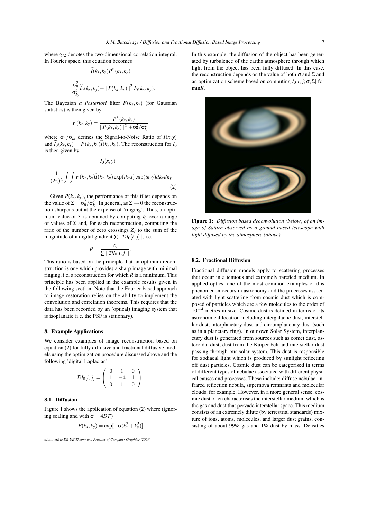$$
\widetilde{I}(k_x, k_y)P^*(k_x, k_y)
$$
  
= 
$$
\frac{\sigma_n^2}{\sigma_{I_0}^2}\widetilde{I}_0(k_x, k_y) + |P(k_x, k_y)|^2 I_0(k_x, k_y).
$$

The Bayesian *a Posteriori* filter  $F(k_x, k_y)$  (for Gaussian statistics) is then given by

$$
F(k_x, k_y) = \frac{P^*(k_x, k_y)}{|P(k_x, k_y)|^2 + \sigma_n^2/\sigma_{l_0}^2}
$$

where  $\sigma_n/\sigma_{I_0}$  defines the Signal-to-Noise Ratio of  $I(x, y)$ and  $\widetilde{I}_0(k_x, k_y) = F(k_x, k_y)\widetilde{I}(k_x, k_y)$ . The reconstruction for  $I_0$ is then given by

 $I_0(x, y) =$ 

$$
\frac{1}{(2\pi)^2} \int \int F(k_x, k_y) \widetilde{I}(k_x, k_y) \exp(ik_x x) \exp(ik_y y) dk_x dk_y
$$
\n(2)

Given  $P(k_x, k_y)$ , the performance of this filter depends on the value of  $\Sigma = \sigma_n^2 / \sigma_{I_0}^2$ . In general, as  $\Sigma \rightarrow 0$  the reconstruction sharpens but at the expense of 'ringing'. Thus, an optimum value of  $\Sigma$  is obtained by computing  $I_0$  over a range of values of  $\Sigma$  and, for each reconstruction, computing the ratio of the number of zero crossings *Zc* to the sum of the magnitude of a digital gradient  $\sum | \mathcal{D} I_0[i, j] |$ , i.e.

$$
R = \frac{Z_c}{\sum |\mathcal{D}I_0[i,j]|}.
$$

This ratio is based on the principle that an optimum reconstruction is one which provides a sharp image with minimal ringing, i.e. a reconstruction for which *R* is a minimum. This principle has been applied in the example results given in the following section. Note that the Fourier based approach to image restoration relies on the ability to implement the convolution and correlation theorems. This requires that the data has been recorded by an (optical) imaging system that is isoplanatic (i.e. the PSF is stationary).

#### 8. Example Applications

We consider examples of image reconstruction based on equation (2) for fully diffusive and fractional diffusive models using the optimization procedure discussed above and the following 'digital Laplacian'

$$
\mathcal{D}I_0[i,j] = \left(\begin{array}{rrr} 0 & 1 & 0 \\ 1 & -4 & 1 \\ 0 & 1 & 0 \end{array}\right).
$$

#### 8.1. Diffusion

Figure 1 shows the application of equation (2) where (ignoring scaling and with  $\sigma = 4DT$ )

$$
P(k_x, k_y) = \exp[-\sigma(k_x^2 + k_y^2)]
$$

submitted to *EG UK Theory and Practice of Computer Graphics (2009*)

In this example, the diffusion of the object has been generated by turbulence of the earths atmosphere through which light from the object has been fully diffused. In this case, the reconstruction depends on the value of both  $\sigma$  and  $\Sigma$  and an optimization scheme based on computing  $I_0[i, j; \sigma, \Sigma]$  for min*R*.



Figure 1: *Diffusion based deconvolution (below) of an image of Saturn observed by a ground based telescope with light diffused by the atmosphere (above).*

# 8.2. Fractional Diffusion

Fractional diffusion models apply to scattering processes that occur in a tenuous and extremely rarefied medium. In applied optics, one of the most common examples of this phenomenon occurs in astronomy and the processes associated with light scattering from cosmic dust which is composed of particles which are a few molecules to the order of  $10^{-4}$  metres in size. Cosmic dust is defined in terms of its astronomical location including intergalactic dust, interstellar dust, interplanetary dust and circumplanetary dust (such as in a planetary ring). In our own Solar System, interplanetary dust is generated from sources such as comet dust, asteroidal dust, dust from the Kuiper belt and interstellar dust passing through our solar system. This dust is responsible for zodiacal light which is produced by sunlight reflecting off dust particles. Cosmic dust can be categorised in terms of different types of nebulae associated with different physical causes and processes. These include: diffuse nebulae, infrared reflection nebula, supernova remnants and molecular clouds, for example. However, in a more general sense, cosmic dust often characterises the interstellar medium which is the gas and dust that pervade interstellar space. This medium consists of an extremely dilute (by terrestrial standards) mixture of ions, atoms, molecules, and larger dust grains, consisting of about 99% gas and 1% dust by mass. Densities